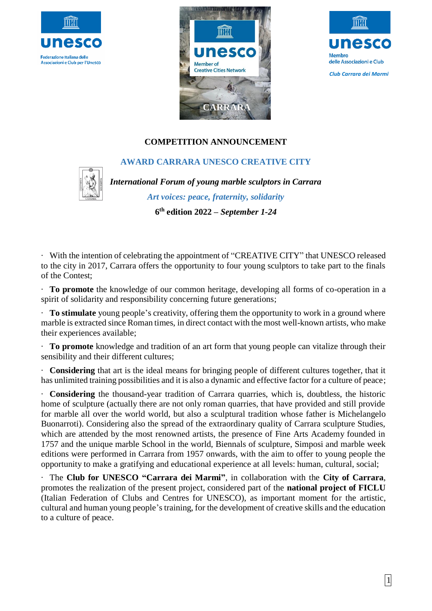





# **COMPETITION ANNOUNCEMENT**

# **AWARD CARRARA UNESCO CREATIVE CITY**



*International Forum of young marble sculptors in Carrara Art voices: peace, fraternity, solidarity* **6 th edition 2022 –** *September 1-24*

· With the intention of celebrating the appointment of "CREATIVE CITY" that UNESCO released to the city in 2017, Carrara offers the opportunity to four young sculptors to take part to the finals of the Contest;

· **To promote** the knowledge of our common heritage, developing all forms of co-operation in a spirit of solidarity and responsibility concerning future generations;

· **To stimulate** young people's creativity, offering them the opportunity to work in a ground where marble is extracted since Roman times, in direct contact with the most well-known artists, who make their experiences available;

· **To promote** knowledge and tradition of an art form that young people can vitalize through their sensibility and their different cultures;

· **Considering** that art is the ideal means for bringing people of different cultures together, that it has unlimited training possibilities and it is also a dynamic and effective factor for a culture of peace;

· **Considering** the thousand-year tradition of Carrara quarries, which is, doubtless, the historic home of sculpture (actually there are not only roman quarries, that have provided and still provide for marble all over the world world, but also a sculptural tradition whose father is Michelangelo Buonarroti). Considering also the spread of the extraordinary quality of Carrara sculpture Studies, which are attended by the most renowned artists, the presence of Fine Arts Academy founded in 1757 and the unique marble School in the world, Biennals of sculpture, Simposi and marble week editions were performed in Carrara from 1957 onwards, with the aim to offer to young people the opportunity to make a gratifying and educational experience at all levels: human, cultural, social;

· The **Club for UNESCO "Carrara dei Marmi"**, in collaboration with the **City of Carrara**, promotes the realization of the present project, considered part of the **national project of FICLU** (Italian Federation of Clubs and Centres for UNESCO), as important moment for the artistic, cultural and human young people's training, for the development of creative skills and the education to a culture of peace.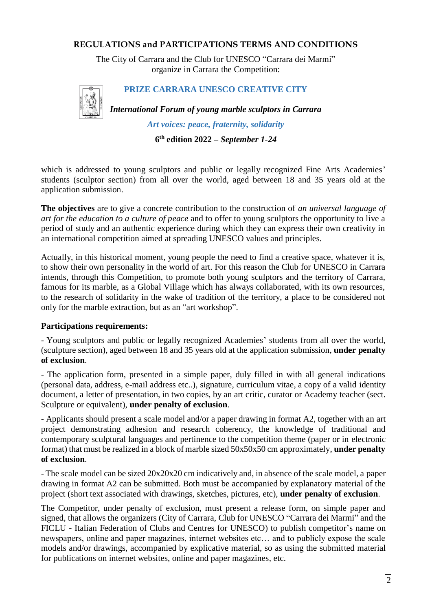# **REGULATIONS and PARTICIPATIONS TERMS AND CONDITIONS**

The City of Carrara and the Club for UNESCO "Carrara dei Marmi" organize in Carrara the Competition:



### **PRIZE CARRARA UNESCO CREATIVE CITY**

*International Forum of young marble sculptors in Carrara* 

*Art voices: peace, fraternity, solidarity*

**6 th edition 2022 –** *September 1-24*

which is addressed to young sculptors and public or legally recognized Fine Arts Academies' students (sculptor section) from all over the world, aged between 18 and 35 years old at the application submission.

**The objectives** are to give a concrete contribution to the construction of *an universal language of art for the education to a culture of peace* and to offer to young sculptors the opportunity to live a period of study and an authentic experience during which they can express their own creativity in an international competition aimed at spreading UNESCO values and principles.

Actually, in this historical moment, young people the need to find a creative space, whatever it is, to show their own personality in the world of art. For this reason the Club for UNESCO in Carrara intends, through this Competition, to promote both young sculptors and the territory of Carrara, famous for its marble, as a Global Village which has always collaborated, with its own resources, to the research of solidarity in the wake of tradition of the territory, a place to be considered not only for the marble extraction, but as an "art workshop".

#### **Participations requirements:**

- Young sculptors and public or legally recognized Academies' students from all over the world, (sculpture section), aged between 18 and 35 years old at the application submission, **under penalty of exclusion**.

- The application form, presented in a simple paper, duly filled in with all general indications (personal data, address, e-mail address etc..), signature, curriculum vitae, a copy of a valid identity document, a letter of presentation, in two copies, by an art critic, curator or Academy teacher (sect. Sculpture or equivalent), **under penalty of exclusion**.

- Applicants should present a scale model and/or a paper drawing in format A2, together with an art project demonstrating adhesion and research coherency, the knowledge of traditional and contemporary sculptural languages and pertinence to the competition theme (paper or in electronic format) that must be realized in a block of marble sized 50x50x50 cm approximately, **under penalty of exclusion**.

- The scale model can be sized 20x20x20 cm indicatively and, in absence of the scale model, a paper drawing in format A2 can be submitted. Both must be accompanied by explanatory material of the project (short text associated with drawings, sketches, pictures, etc), **under penalty of exclusion**.

The Competitor, under penalty of exclusion, must present a release form, on simple paper and signed, that allows the organizers (City of Carrara, Club for UNESCO "Carrara dei Marmi" and the FICLU - Italian Federation of Clubs and Centres for UNESCO) to publish competitor's name on newspapers, online and paper magazines, internet websites etc… and to publicly expose the scale models and/or drawings, accompanied by explicative material, so as using the submitted material for publications on internet websites, online and paper magazines, etc.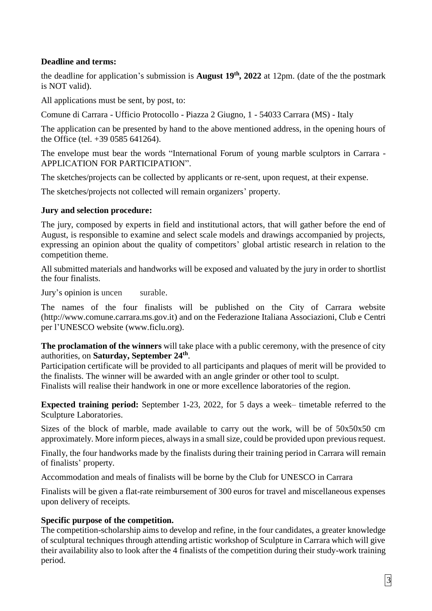# **Deadline and terms:**

the deadline for application's submission is **August 19th, 2022** at 12pm. (date of the the postmark is NOT valid).

All applications must be sent, by post, to:

Comune di Carrara - Ufficio Protocollo - Piazza 2 Giugno, 1 - 54033 Carrara (MS) - Italy

The application can be presented by hand to the above mentioned address, in the opening hours of the Office (tel. +39 0585 641264).

The envelope must bear the words "International Forum of young marble sculptors in Carrara - APPLICATION FOR PARTICIPATION".

The sketches/projects can be collected by applicants or re-sent, upon request, at their expense.

The sketches/projects not collected will remain organizers' property.

### **Jury and selection procedure:**

The jury, composed by experts in field and institutional actors, that will gather before the end of August, is responsible to examine and select scale models and drawings accompanied by projects, expressing an opinion about the quality of competitors' global artistic research in relation to the competition theme.

All submitted materials and handworks will be exposed and valuated by the jury in order to shortlist the four finalists.

Jury's opinion is uncen surable.

The names of the four finalists will be published on the City of Carrara website (http://www.comune.carrara.ms.gov.it) and on the Federazione Italiana Associazioni, Club e Centri per l'UNESCO website (www.ficlu.org).

**The proclamation of the winners** will take place with a public ceremony, with the presence of city authorities, on Saturday, September 24<sup>th</sup>.

Participation certificate will be provided to all participants and plaques of merit will be provided to the finalists. The winner will be awarded with an angle grinder or other tool to sculpt. Finalists will realise their handwork in one or more excellence laboratories of the region.

**Expected training period:** September 1-23, 2022, for 5 days a week– timetable referred to the Sculpture Laboratories.

Sizes of the block of marble, made available to carry out the work, will be of 50x50x50 cm approximately. More inform pieces, always in a small size, could be provided upon previous request.

Finally, the four handworks made by the finalists during their training period in Carrara will remain of finalists' property.

Accommodation and meals of finalists will be borne by the Club for UNESCO in Carrara

Finalists will be given a flat-rate reimbursement of 300 euros for travel and miscellaneous expenses upon delivery of receipts.

# **Specific purpose of the competition.**

The competition-scholarship aims to develop and refine, in the four candidates, a greater knowledge of sculptural techniques through attending artistic workshop of Sculpture in Carrara which will give their availability also to look after the 4 finalists of the competition during their study-work training period.